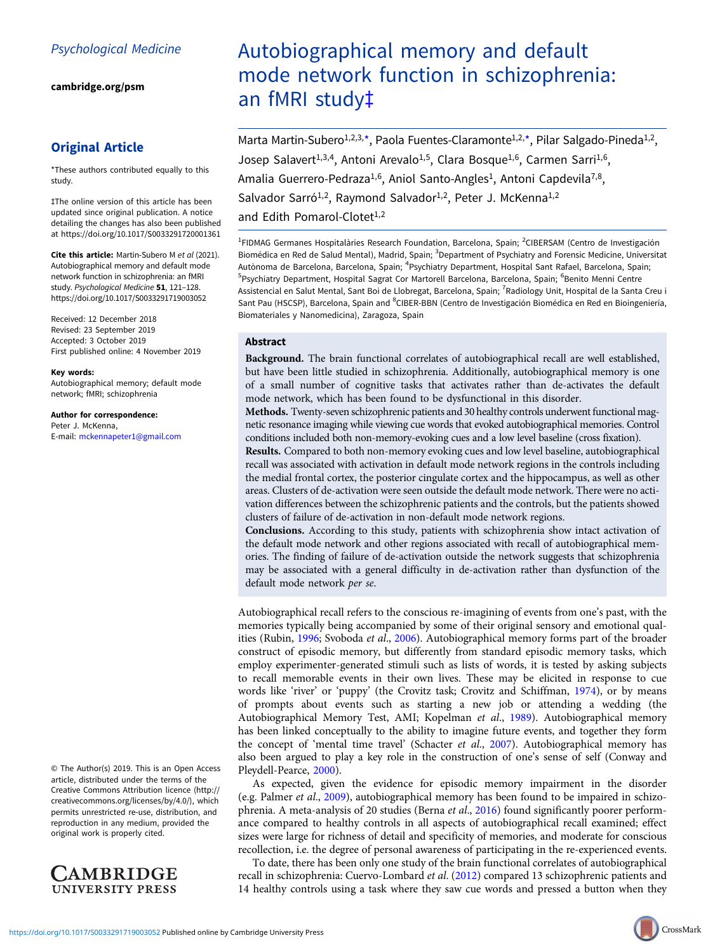[cambridge.org/psm](https://www.cambridge.org/psm)

## Original Article

\*These authors contributed equally to this study.

‡The online version of this article has been updated since original publication. A notice detailing the changes has also been published at https://doi.org/10.1017/S0033291720001361

Cite this article: Martin-Subero M et al (2021). Autobiographical memory and default mode network function in schizophrenia: an fMRI study. Psychological Medicine 51, 121-128. <https://doi.org/10.1017/S0033291719003052>

Received: 12 December 2018 Revised: 23 September 2019 Accepted: 3 October 2019 First published online: 4 November 2019

Key words:

Autobiographical memory; default mode network; fMRI; schizophrenia

Author for correspondence: Peter J. McKenna, E-mail: [mckennapeter1@gmail.com](mailto:mckennapeter1@gmail.com)

© The Author(s) 2019. This is an Open Access article, distributed under the terms of the Creative Commons Attribution licence (http:// creativecommons.org/licenses/by/4.0/), which permits unrestricted re-use, distribution, and reproduction in any medium, provided the original work is properly cited.



# Autobiographical memory and default mode network function in schizophrenia: an fMRI study‡

Marta Martin-Subero<sup>1,2,3,\*</sup>, Paola Fuentes-Claramonte<sup>1,2,\*</sup>, Pilar Salgado-Pineda<sup>1,2</sup>, Josep Salavert<sup>1,3,4</sup>, Antoni Arevalo<sup>1,5</sup>, Clara Bosque<sup>1,6</sup>, Carmen Sarri<sup>1,6</sup>, Amalia Guerrero-Pedraza<sup>1,6</sup>, Aniol Santo-Angles<sup>1</sup>, Antoni Capdevila<sup>7,8</sup>, Salvador Sarró<sup>1,2</sup>, Raymond Salvador<sup>1,2</sup>, Peter J. McKenna<sup>1,2</sup> and Edith Pomarol-Clotet<sup>1,2</sup>

<sup>1</sup>FIDMAG Germanes Hospitalàries Research Foundation, Barcelona, Spain; <sup>2</sup>CIBERSAM (Centro de Investigación Biomédica en Red de Salud Mental), Madrid, Spain; <sup>3</sup>Department of Psychiatry and Forensic Medicine, Universitat Autònoma de Barcelona, Barcelona, Spain; <sup>4</sup>Psychiatry Department, Hospital Sant Rafael, Barcelona, Spain<sub>;</sub> <sup>5</sup>Psychiatry Department, Hospital Sagrat Cor Martorell Barcelona, Barcelona, Spain; <sup>6</sup>Benito Menni Centre Assistencial en Salut Mental, Sant Boi de Llobregat, Barcelona, Spain; <sup>7</sup>Radiology Unit, Hospital de la Santa Creu i Sant Pau (HSCSP), Barcelona, Spain and <sup>8</sup>CIBER-BBN (Centro de Investigación Biomédica en Red en Bioingeniería, Biomateriales y Nanomedicina), Zaragoza, Spain

## Abstract

Background. The brain functional correlates of autobiographical recall are well established, but have been little studied in schizophrenia. Additionally, autobiographical memory is one of a small number of cognitive tasks that activates rather than de-activates the default mode network, which has been found to be dysfunctional in this disorder.

Methods. Twenty-seven schizophrenic patients and 30 healthy controls underwent functional magnetic resonance imaging while viewing cue words that evoked autobiographical memories. Control conditions included both non-memory-evoking cues and a low level baseline (cross fixation).

Results. Compared to both non-memory evoking cues and low level baseline, autobiographical recall was associated with activation in default mode network regions in the controls including the medial frontal cortex, the posterior cingulate cortex and the hippocampus, as well as other areas. Clusters of de-activation were seen outside the default mode network. There were no activation differences between the schizophrenic patients and the controls, but the patients showed clusters of failure of de-activation in non-default mode network regions.

Conclusions. According to this study, patients with schizophrenia show intact activation of the default mode network and other regions associated with recall of autobiographical memories. The finding of failure of de-activation outside the network suggests that schizophrenia may be associated with a general difficulty in de-activation rather than dysfunction of the default mode network per se.

Autobiographical recall refers to the conscious re-imagining of events from one's past, with the memories typically being accompanied by some of their original sensory and emotional qual-ities (Rubin, [1996;](#page-7-0) Svoboda et al., [2006\)](#page-7-0). Autobiographical memory forms part of the broader construct of episodic memory, but differently from standard episodic memory tasks, which employ experimenter-generated stimuli such as lists of words, it is tested by asking subjects to recall memorable events in their own lives. These may be elicited in response to cue words like 'river' or 'puppy' (the Crovitz task; Crovitz and Schiffman, [1974\)](#page-6-0), or by means of prompts about events such as starting a new job or attending a wedding (the Autobiographical Memory Test, AMI; Kopelman et al., [1989\)](#page-7-0). Autobiographical memory has been linked conceptually to the ability to imagine future events, and together they form the concept of 'mental time travel' (Schacter et al., [2007](#page-7-0)). Autobiographical memory has also been argued to play a key role in the construction of one's sense of self (Conway and Pleydell-Pearce, [2000](#page-6-0)).

As expected, given the evidence for episodic memory impairment in the disorder (e.g. Palmer et al., [2009](#page-7-0)), autobiographical memory has been found to be impaired in schizo-phrenia. A meta-analysis of 20 studies (Berna et al., [2016](#page-6-0)) found significantly poorer performance compared to healthy controls in all aspects of autobiographical recall examined; effect sizes were large for richness of detail and specificity of memories, and moderate for conscious recollection, i.e. the degree of personal awareness of participating in the re-experienced events.

To date, there has been only one study of the brain functional correlates of autobiographical recall in schizophrenia: Cuervo-Lombard et al. [\(2012\)](#page-6-0) compared 13 schizophrenic patients and 14 healthy controls using a task where they saw cue words and pressed a button when they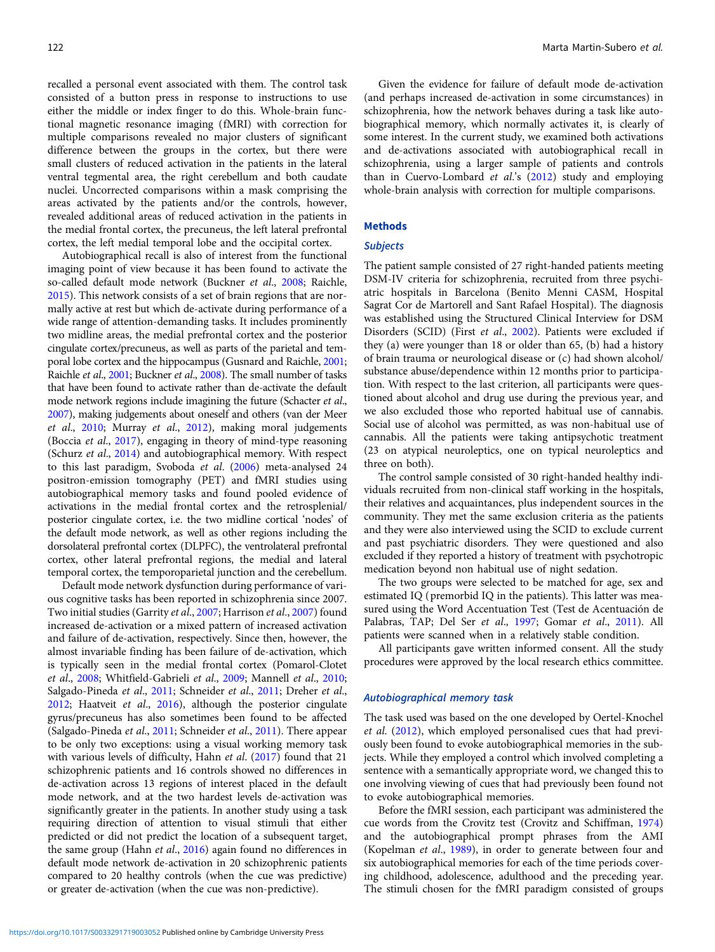recalled a personal event associated with them. The control task consisted of a button press in response to instructions to use either the middle or index finger to do this. Whole-brain functional magnetic resonance imaging (fMRI) with correction for multiple comparisons revealed no major clusters of significant difference between the groups in the cortex, but there were small clusters of reduced activation in the patients in the lateral ventral tegmental area, the right cerebellum and both caudate nuclei. Uncorrected comparisons within a mask comprising the areas activated by the patients and/or the controls, however, revealed additional areas of reduced activation in the patients in the medial frontal cortex, the precuneus, the left lateral prefrontal cortex, the left medial temporal lobe and the occipital cortex.

Autobiographical recall is also of interest from the functional imaging point of view because it has been found to activate the so-called default mode network (Buckner et al., [2008;](#page-6-0) Raichle, [2015\)](#page-7-0). This network consists of a set of brain regions that are normally active at rest but which de-activate during performance of a wide range of attention-demanding tasks. It includes prominently two midline areas, the medial prefrontal cortex and the posterior cingulate cortex/precuneus, as well as parts of the parietal and temporal lobe cortex and the hippocampus (Gusnard and Raichle, [2001](#page-7-0); Raichle et al., [2001](#page-7-0); Buckner et al., [2008](#page-6-0)). The small number of tasks that have been found to activate rather than de-activate the default mode network regions include imagining the future (Schacter et al., [2007](#page-7-0)), making judgements about oneself and others (van der Meer et al., [2010](#page-7-0); Murray et al., [2012](#page-7-0)), making moral judgements (Boccia et al., [2017\)](#page-6-0), engaging in theory of mind-type reasoning (Schurz et al., [2014\)](#page-7-0) and autobiographical memory. With respect to this last paradigm, Svoboda et al. ([2006](#page-7-0)) meta-analysed 24 positron-emission tomography (PET) and fMRI studies using autobiographical memory tasks and found pooled evidence of activations in the medial frontal cortex and the retrosplenial/ posterior cingulate cortex, i.e. the two midline cortical 'nodes' of the default mode network, as well as other regions including the dorsolateral prefrontal cortex (DLPFC), the ventrolateral prefrontal cortex, other lateral prefrontal regions, the medial and lateral temporal cortex, the temporoparietal junction and the cerebellum.

Default mode network dysfunction during performance of various cognitive tasks has been reported in schizophrenia since 2007. Two initial studies (Garrity et al., [2007;](#page-7-0) Harrison et al., [2007](#page-7-0)) found increased de-activation or a mixed pattern of increased activation and failure of de-activation, respectively. Since then, however, the almost invariable finding has been failure of de-activation, which is typically seen in the medial frontal cortex (Pomarol-Clotet et al., [2008](#page-7-0); Whitfield-Gabrieli et al., [2009;](#page-7-0) Mannell et al., [2010](#page-7-0); Salgado-Pineda et al., [2011](#page-7-0); Schneider et al., [2011;](#page-7-0) Dreher et al., [2012;](#page-6-0) Haatveit et al., [2016](#page-7-0)), although the posterior cingulate gyrus/precuneus has also sometimes been found to be affected (Salgado-Pineda et al., [2011](#page-7-0); Schneider et al., [2011\)](#page-7-0). There appear to be only two exceptions: using a visual working memory task with various levels of difficulty, Hahn et al. [\(2017](#page-7-0)) found that 21 schizophrenic patients and 16 controls showed no differences in de-activation across 13 regions of interest placed in the default mode network, and at the two hardest levels de-activation was significantly greater in the patients. In another study using a task requiring direction of attention to visual stimuli that either predicted or did not predict the location of a subsequent target, the same group (Hahn et al., [2016\)](#page-7-0) again found no differences in default mode network de-activation in 20 schizophrenic patients compared to 20 healthy controls (when the cue was predictive) or greater de-activation (when the cue was non-predictive).

Given the evidence for failure of default mode de-activation (and perhaps increased de-activation in some circumstances) in schizophrenia, how the network behaves during a task like autobiographical memory, which normally activates it, is clearly of some interest. In the current study, we examined both activations and de-activations associated with autobiographical recall in schizophrenia, using a larger sample of patients and controls than in Cuervo-Lombard et al.'s [\(2012\)](#page-6-0) study and employing whole-brain analysis with correction for multiple comparisons.

## **Methods**

#### **Subjects**

The patient sample consisted of 27 right-handed patients meeting DSM-IV criteria for schizophrenia, recruited from three psychiatric hospitals in Barcelona (Benito Menni CASM, Hospital Sagrat Cor de Martorell and Sant Rafael Hospital). The diagnosis was established using the Structured Clinical Interview for DSM Disorders (SCID) (First et al., [2002\)](#page-7-0). Patients were excluded if they (a) were younger than 18 or older than 65, (b) had a history of brain trauma or neurological disease or (c) had shown alcohol/ substance abuse/dependence within 12 months prior to participation. With respect to the last criterion, all participants were questioned about alcohol and drug use during the previous year, and we also excluded those who reported habitual use of cannabis. Social use of alcohol was permitted, as was non-habitual use of cannabis. All the patients were taking antipsychotic treatment (23 on atypical neuroleptics, one on typical neuroleptics and three on both).

The control sample consisted of 30 right-handed healthy individuals recruited from non-clinical staff working in the hospitals, their relatives and acquaintances, plus independent sources in the community. They met the same exclusion criteria as the patients and they were also interviewed using the SCID to exclude current and past psychiatric disorders. They were questioned and also excluded if they reported a history of treatment with psychotropic medication beyond non habitual use of night sedation.

The two groups were selected to be matched for age, sex and estimated IQ (premorbid IQ in the patients). This latter was measured using the Word Accentuation Test (Test de Acentuación de Palabras, TAP; Del Ser et al., [1997;](#page-6-0) Gomar et al., [2011](#page-7-0)). All patients were scanned when in a relatively stable condition.

All participants gave written informed consent. All the study procedures were approved by the local research ethics committee.

## Autobiographical memory task

The task used was based on the one developed by Oertel-Knochel et al. [\(2012\)](#page-7-0), which employed personalised cues that had previously been found to evoke autobiographical memories in the subjects. While they employed a control which involved completing a sentence with a semantically appropriate word, we changed this to one involving viewing of cues that had previously been found not to evoke autobiographical memories.

Before the fMRI session, each participant was administered the cue words from the Crovitz test (Crovitz and Schiffman, [1974](#page-6-0)) and the autobiographical prompt phrases from the AMI (Kopelman et al., [1989](#page-7-0)), in order to generate between four and six autobiographical memories for each of the time periods covering childhood, adolescence, adulthood and the preceding year. The stimuli chosen for the fMRI paradigm consisted of groups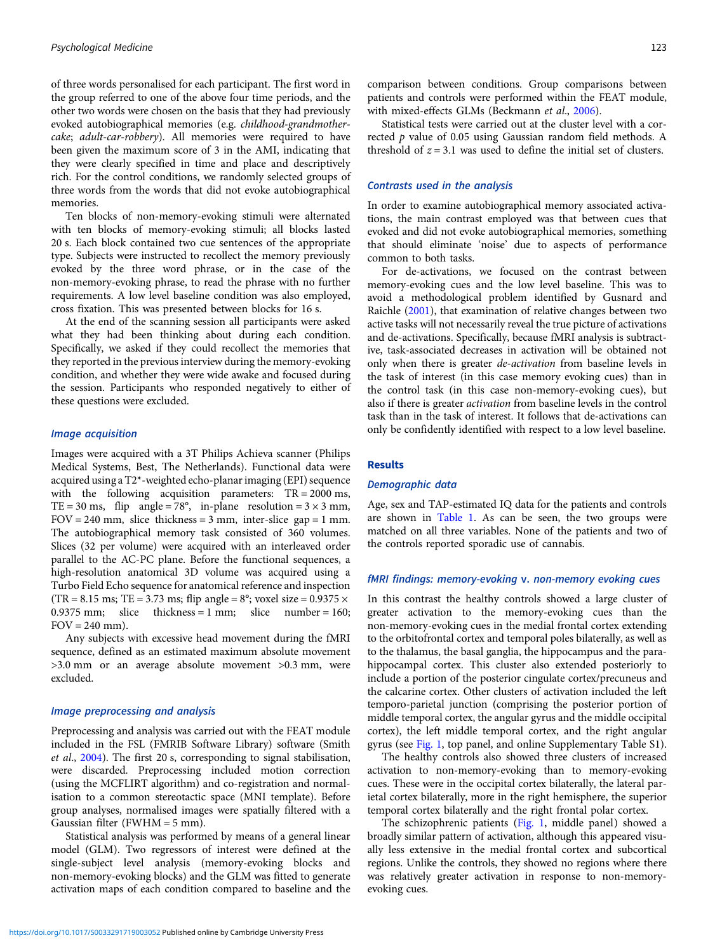of three words personalised for each participant. The first word in the group referred to one of the above four time periods, and the other two words were chosen on the basis that they had previously evoked autobiographical memories (e.g. childhood-grandmothercake; adult-car-robbery). All memories were required to have been given the maximum score of 3 in the AMI, indicating that they were clearly specified in time and place and descriptively rich. For the control conditions, we randomly selected groups of three words from the words that did not evoke autobiographical memories.

Ten blocks of non-memory-evoking stimuli were alternated with ten blocks of memory-evoking stimuli; all blocks lasted 20 s. Each block contained two cue sentences of the appropriate type. Subjects were instructed to recollect the memory previously evoked by the three word phrase, or in the case of the non-memory-evoking phrase, to read the phrase with no further requirements. A low level baseline condition was also employed, cross fixation. This was presented between blocks for 16 s.

At the end of the scanning session all participants were asked what they had been thinking about during each condition. Specifically, we asked if they could recollect the memories that they reported in the previous interview during the memory-evoking condition, and whether they were wide awake and focused during the session. Participants who responded negatively to either of these questions were excluded.

## Image acquisition

Images were acquired with a 3T Philips Achieva scanner (Philips Medical Systems, Best, The Netherlands). Functional data were acquired using a T2\*-weighted echo-planar imaging (EPI) sequence with the following acquisition parameters: TR = 2000 ms, TE = 30 ms, flip angle = 78°, in-plane resolution =  $3 \times 3$  mm,  $FOV = 240$  mm, slice thickness = 3 mm, inter-slice gap = 1 mm. The autobiographical memory task consisted of 360 volumes. Slices (32 per volume) were acquired with an interleaved order parallel to the AC-PC plane. Before the functional sequences, a high-resolution anatomical 3D volume was acquired using a Turbo Field Echo sequence for anatomical reference and inspection  $(TR = 8.15 \text{ ms}; TE = 3.73 \text{ ms}; flip angle = 8^\circ; voxel size = 0.9375 \times$ 0.9375 mm; slice thickness = 1 mm; slice number = 160;  $FOV = 240$  mm).

Any subjects with excessive head movement during the fMRI sequence, defined as an estimated maximum absolute movement >3.0 mm or an average absolute movement >0.3 mm, were excluded.

## Image preprocessing and analysis

Preprocessing and analysis was carried out with the FEAT module included in the FSL (FMRIB Software Library) software (Smith et al., [2004](#page-7-0)). The first 20 s, corresponding to signal stabilisation, were discarded. Preprocessing included motion correction (using the MCFLIRT algorithm) and co-registration and normalisation to a common stereotactic space (MNI template). Before group analyses, normalised images were spatially filtered with a Gaussian filter (FWHM = 5 mm).

Statistical analysis was performed by means of a general linear model (GLM). Two regressors of interest were defined at the single-subject level analysis (memory-evoking blocks and non-memory-evoking blocks) and the GLM was fitted to generate activation maps of each condition compared to baseline and the comparison between conditions. Group comparisons between patients and controls were performed within the FEAT module, with mixed-effects GLMs (Beckmann et al., [2006](#page-6-0)).

Statistical tests were carried out at the cluster level with a corrected p value of 0.05 using Gaussian random field methods. A threshold of  $z = 3.1$  was used to define the initial set of clusters.

## Contrasts used in the analysis

In order to examine autobiographical memory associated activations, the main contrast employed was that between cues that evoked and did not evoke autobiographical memories, something that should eliminate 'noise' due to aspects of performance common to both tasks.

For de-activations, we focused on the contrast between memory-evoking cues and the low level baseline. This was to avoid a methodological problem identified by Gusnard and Raichle [\(2001](#page-7-0)), that examination of relative changes between two active tasks will not necessarily reveal the true picture of activations and de-activations. Specifically, because fMRI analysis is subtractive, task-associated decreases in activation will be obtained not only when there is greater de-activation from baseline levels in the task of interest (in this case memory evoking cues) than in the control task (in this case non-memory-evoking cues), but also if there is greater activation from baseline levels in the control task than in the task of interest. It follows that de-activations can only be confidently identified with respect to a low level baseline.

### Results

## Demographic data

Age, sex and TAP-estimated IQ data for the patients and controls are shown in [Table 1.](#page-3-0) As can be seen, the two groups were matched on all three variables. None of the patients and two of the controls reported sporadic use of cannabis.

## fMRI findings: memory-evoking v. non-memory evoking cues

In this contrast the healthy controls showed a large cluster of greater activation to the memory-evoking cues than the non-memory-evoking cues in the medial frontal cortex extending to the orbitofrontal cortex and temporal poles bilaterally, as well as to the thalamus, the basal ganglia, the hippocampus and the parahippocampal cortex. This cluster also extended posteriorly to include a portion of the posterior cingulate cortex/precuneus and the calcarine cortex. Other clusters of activation included the left temporo-parietal junction (comprising the posterior portion of middle temporal cortex, the angular gyrus and the middle occipital cortex), the left middle temporal cortex, and the right angular gyrus (see [Fig. 1](#page-3-0), top panel, and online Supplementary Table S1).

The healthy controls also showed three clusters of increased activation to non-memory-evoking than to memory-evoking cues. These were in the occipital cortex bilaterally, the lateral parietal cortex bilaterally, more in the right hemisphere, the superior temporal cortex bilaterally and the right frontal polar cortex.

The schizophrenic patients [\(Fig. 1,](#page-3-0) middle panel) showed a broadly similar pattern of activation, although this appeared visually less extensive in the medial frontal cortex and subcortical regions. Unlike the controls, they showed no regions where there was relatively greater activation in response to non-memoryevoking cues.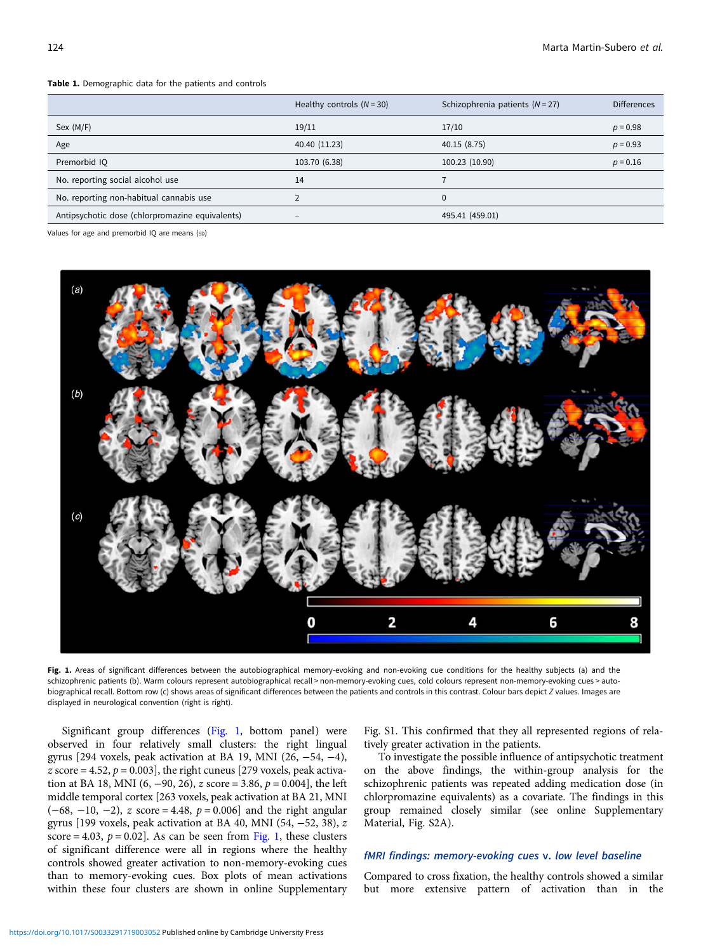#### <span id="page-3-0"></span>Table 1. Demographic data for the patients and controls

|                                                 | Healthy controls $(N = 30)$ | Schizophrenia patients $(N = 27)$ | <b>Differences</b> |
|-------------------------------------------------|-----------------------------|-----------------------------------|--------------------|
| Sex (M/F)                                       | 19/11                       | 17/10                             | $p = 0.98$         |
| Age                                             | 40.40 (11.23)               | 40.15 (8.75)                      | $p = 0.93$         |
| Premorbid IQ                                    | 103.70 (6.38)               | 100.23 (10.90)                    | $p = 0.16$         |
| No. reporting social alcohol use                | 14                          |                                   |                    |
| No. reporting non-habitual cannabis use         |                             | $\Omega$                          |                    |
| Antipsychotic dose (chlorpromazine equivalents) | $\overline{\phantom{a}}$    | 495.41 (459.01)                   |                    |

Values for age and premorbid IQ are means (sp)



Fig. 1. Areas of significant differences between the autobiographical memory-evoking and non-evoking cue conditions for the healthy subjects (a) and the schizophrenic patients (b). Warm colours represent autobiographical recall > non-memory-evoking cues, cold colours represent non-memory-evoking cues > autobiographical recall. Bottom row (c) shows areas of significant differences between the patients and controls in this contrast. Colour bars depict Z values. Images are displayed in neurological convention (right is right).

Significant group differences (Fig. 1, bottom panel) were observed in four relatively small clusters: the right lingual gyrus [294 voxels, peak activation at BA 19, MNI (26, −54, −4), z score = 4.52,  $p = 0.003$ , the right cuneus [279 voxels, peak activation at BA 18, MNI (6, -90, 26), z score = 3.86,  $p = 0.004$ , the left middle temporal cortex [263 voxels, peak activation at BA 21, MNI  $(-68, -10, -2)$ , z score = 4.48,  $p = 0.006$ ] and the right angular gyrus [199 voxels, peak activation at BA 40, MNI (54, −52, 38), z score = 4.03,  $p = 0.02$ ]. As can be seen from Fig. 1, these clusters of significant difference were all in regions where the healthy controls showed greater activation to non-memory-evoking cues than to memory-evoking cues. Box plots of mean activations within these four clusters are shown in online Supplementary

Fig. S1. This confirmed that they all represented regions of relatively greater activation in the patients.

To investigate the possible influence of antipsychotic treatment on the above findings, the within-group analysis for the schizophrenic patients was repeated adding medication dose (in chlorpromazine equivalents) as a covariate. The findings in this group remained closely similar (see online Supplementary Material, Fig. S2A).

## fMRI findings: memory-evoking cues v. low level baseline

Compared to cross fixation, the healthy controls showed a similar but more extensive pattern of activation than in the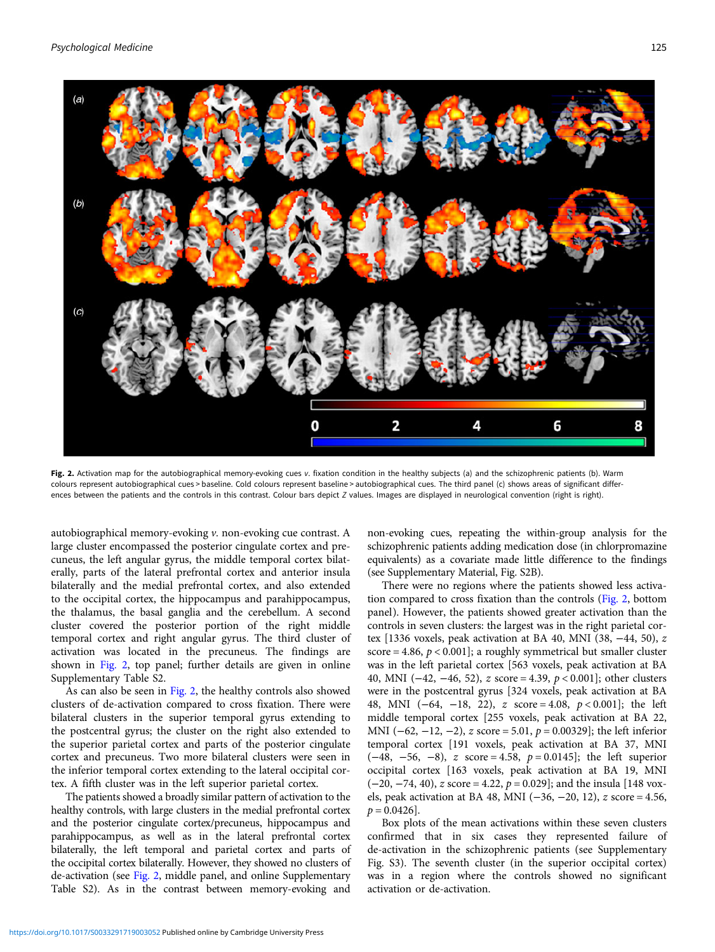Psychological Medicine 125



Fig. 2. Activation map for the autobiographical memory-evoking cues v. fixation condition in the healthy subjects (a) and the schizophrenic patients (b). Warm colours represent autobiographical cues > baseline. Cold colours represent baseline > autobiographical cues. The third panel (c) shows areas of significant differences between the patients and the controls in this contrast. Colour bars depict Z values. Images are displayed in neurological convention (right is right).

autobiographical memory-evoking v. non-evoking cue contrast. A large cluster encompassed the posterior cingulate cortex and precuneus, the left angular gyrus, the middle temporal cortex bilaterally, parts of the lateral prefrontal cortex and anterior insula bilaterally and the medial prefrontal cortex, and also extended to the occipital cortex, the hippocampus and parahippocampus, the thalamus, the basal ganglia and the cerebellum. A second cluster covered the posterior portion of the right middle temporal cortex and right angular gyrus. The third cluster of activation was located in the precuneus. The findings are shown in Fig. 2, top panel; further details are given in online Supplementary Table S2.

As can also be seen in Fig. 2, the healthy controls also showed clusters of de-activation compared to cross fixation. There were bilateral clusters in the superior temporal gyrus extending to the postcentral gyrus; the cluster on the right also extended to the superior parietal cortex and parts of the posterior cingulate cortex and precuneus. Two more bilateral clusters were seen in the inferior temporal cortex extending to the lateral occipital cortex. A fifth cluster was in the left superior parietal cortex.

The patients showed a broadly similar pattern of activation to the healthy controls, with large clusters in the medial prefrontal cortex and the posterior cingulate cortex/precuneus, hippocampus and parahippocampus, as well as in the lateral prefrontal cortex bilaterally, the left temporal and parietal cortex and parts of the occipital cortex bilaterally. However, they showed no clusters of de-activation (see Fig. 2, middle panel, and online Supplementary Table S2). As in the contrast between memory-evoking and

non-evoking cues, repeating the within-group analysis for the schizophrenic patients adding medication dose (in chlorpromazine equivalents) as a covariate made little difference to the findings (see Supplementary Material, Fig. S2B).

There were no regions where the patients showed less activation compared to cross fixation than the controls (Fig. 2, bottom panel). However, the patients showed greater activation than the controls in seven clusters: the largest was in the right parietal cortex [1336 voxels, peak activation at BA 40, MNI (38, −44, 50), z score = 4.86,  $p < 0.001$ ]; a roughly symmetrical but smaller cluster was in the left parietal cortex [563 voxels, peak activation at BA 40, MNI (−42, −46, 52), z score = 4.39, p < 0.001]; other clusters were in the postcentral gyrus [324 voxels, peak activation at BA 48, MNI (−64, −18, 22), z score = 4.08, p < 0.001]; the left middle temporal cortex [255 voxels, peak activation at BA 22, MNI (−62, −12, −2), z score = 5.01, p = 0.00329]; the left inferior temporal cortex [191 voxels, peak activation at BA 37, MNI  $(-48, -56, -8)$ , z score = 4.58,  $p = 0.0145$ ; the left superior occipital cortex [163 voxels, peak activation at BA 19, MNI  $(-20, -74, 40)$ , z score = 4.22,  $p = 0.029$ ; and the insula [148 voxels, peak activation at BA 48, MNI (−36, −20, 12), z score = 4.56,  $p = 0.0426$ .

Box plots of the mean activations within these seven clusters confirmed that in six cases they represented failure of de-activation in the schizophrenic patients (see Supplementary Fig. S3). The seventh cluster (in the superior occipital cortex) was in a region where the controls showed no significant activation or de-activation.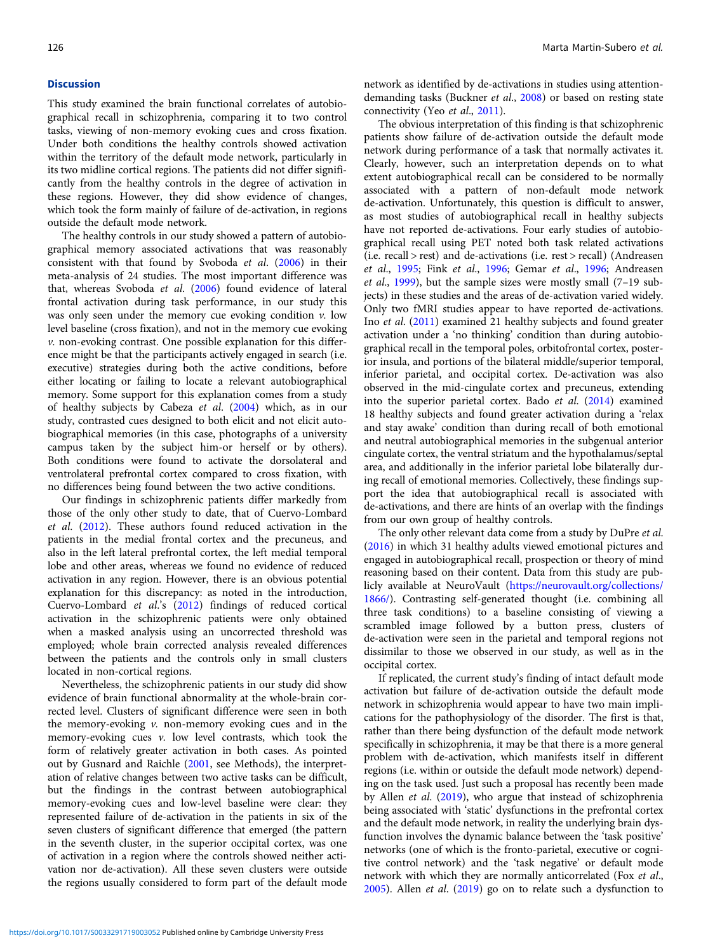#### **Discussion**

This study examined the brain functional correlates of autobiographical recall in schizophrenia, comparing it to two control tasks, viewing of non-memory evoking cues and cross fixation. Under both conditions the healthy controls showed activation within the territory of the default mode network, particularly in its two midline cortical regions. The patients did not differ significantly from the healthy controls in the degree of activation in these regions. However, they did show evidence of changes, which took the form mainly of failure of de-activation, in regions outside the default mode network.

The healthy controls in our study showed a pattern of autobiographical memory associated activations that was reasonably consistent with that found by Svoboda et al. [\(2006](#page-7-0)) in their meta-analysis of 24 studies. The most important difference was that, whereas Svoboda et al. [\(2006](#page-7-0)) found evidence of lateral frontal activation during task performance, in our study this was only seen under the memory cue evoking condition  $v$ . low level baseline (cross fixation), and not in the memory cue evoking v. non-evoking contrast. One possible explanation for this difference might be that the participants actively engaged in search (i.e. executive) strategies during both the active conditions, before either locating or failing to locate a relevant autobiographical memory. Some support for this explanation comes from a study of healthy subjects by Cabeza et al. [\(2004\)](#page-6-0) which, as in our study, contrasted cues designed to both elicit and not elicit autobiographical memories (in this case, photographs of a university campus taken by the subject him-or herself or by others). Both conditions were found to activate the dorsolateral and ventrolateral prefrontal cortex compared to cross fixation, with no differences being found between the two active conditions.

Our findings in schizophrenic patients differ markedly from those of the only other study to date, that of Cuervo-Lombard et al. [\(2012](#page-6-0)). These authors found reduced activation in the patients in the medial frontal cortex and the precuneus, and also in the left lateral prefrontal cortex, the left medial temporal lobe and other areas, whereas we found no evidence of reduced activation in any region. However, there is an obvious potential explanation for this discrepancy: as noted in the introduction, Cuervo-Lombard et al.'s ([2012\)](#page-6-0) findings of reduced cortical activation in the schizophrenic patients were only obtained when a masked analysis using an uncorrected threshold was employed; whole brain corrected analysis revealed differences between the patients and the controls only in small clusters located in non-cortical regions.

Nevertheless, the schizophrenic patients in our study did show evidence of brain functional abnormality at the whole-brain corrected level. Clusters of significant difference were seen in both the memory-evoking  $v$ . non-memory evoking cues and in the memory-evoking cues  $v$ . low level contrasts, which took the form of relatively greater activation in both cases. As pointed out by Gusnard and Raichle ([2001,](#page-7-0) see Methods), the interpretation of relative changes between two active tasks can be difficult, but the findings in the contrast between autobiographical memory-evoking cues and low-level baseline were clear: they represented failure of de-activation in the patients in six of the seven clusters of significant difference that emerged (the pattern in the seventh cluster, in the superior occipital cortex, was one of activation in a region where the controls showed neither activation nor de-activation). All these seven clusters were outside the regions usually considered to form part of the default mode

network as identified by de-activations in studies using attentiondemanding tasks (Buckner *et al.*, [2008\)](#page-6-0) or based on resting state connectivity (Yeo et al., [2011](#page-7-0)).

The obvious interpretation of this finding is that schizophrenic patients show failure of de-activation outside the default mode network during performance of a task that normally activates it. Clearly, however, such an interpretation depends on to what extent autobiographical recall can be considered to be normally associated with a pattern of non-default mode network de-activation. Unfortunately, this question is difficult to answer, as most studies of autobiographical recall in healthy subjects have not reported de-activations. Four early studies of autobiographical recall using PET noted both task related activations (i.e. recall > rest) and de-activations (i.e. rest > recall) (Andreasen et al., [1995;](#page-6-0) Fink et al., [1996;](#page-6-0) Gemar et al., [1996](#page-7-0); Andreasen et al.,  $1999$ ), but the sample sizes were mostly small  $(7-19$  subjects) in these studies and the areas of de-activation varied widely. Only two fMRI studies appear to have reported de-activations. Ino et al. [\(2011\)](#page-7-0) examined 21 healthy subjects and found greater activation under a 'no thinking' condition than during autobiographical recall in the temporal poles, orbitofrontal cortex, posterior insula, and portions of the bilateral middle/superior temporal, inferior parietal, and occipital cortex. De-activation was also observed in the mid-cingulate cortex and precuneus, extending into the superior parietal cortex. Bado et al. [\(2014](#page-6-0)) examined 18 healthy subjects and found greater activation during a 'relax and stay awake' condition than during recall of both emotional and neutral autobiographical memories in the subgenual anterior cingulate cortex, the ventral striatum and the hypothalamus/septal area, and additionally in the inferior parietal lobe bilaterally during recall of emotional memories. Collectively, these findings support the idea that autobiographical recall is associated with de-activations, and there are hints of an overlap with the findings from our own group of healthy controls.

The only other relevant data come from a study by DuPre et al. ([2016\)](#page-6-0) in which 31 healthy adults viewed emotional pictures and engaged in autobiographical recall, prospection or theory of mind reasoning based on their content. Data from this study are publicly available at NeuroVault ([https://neurovault.org/collections/](https://neurovault.org/collections/1866/) [1866/\)](https://neurovault.org/collections/1866/). Contrasting self-generated thought (i.e. combining all three task conditions) to a baseline consisting of viewing a scrambled image followed by a button press, clusters of de-activation were seen in the parietal and temporal regions not dissimilar to those we observed in our study, as well as in the occipital cortex.

If replicated, the current study's finding of intact default mode activation but failure of de-activation outside the default mode network in schizophrenia would appear to have two main implications for the pathophysiology of the disorder. The first is that, rather than there being dysfunction of the default mode network specifically in schizophrenia, it may be that there is a more general problem with de-activation, which manifests itself in different regions (i.e. within or outside the default mode network) depending on the task used. Just such a proposal has recently been made by Allen et al. [\(2019](#page-6-0)), who argue that instead of schizophrenia being associated with 'static' dysfunctions in the prefrontal cortex and the default mode network, in reality the underlying brain dysfunction involves the dynamic balance between the 'task positive' networks (one of which is the fronto-parietal, executive or cognitive control network) and the 'task negative' or default mode network with which they are normally anticorrelated (Fox et al., [2005\)](#page-7-0). Allen et al. ([2019](#page-6-0)) go on to relate such a dysfunction to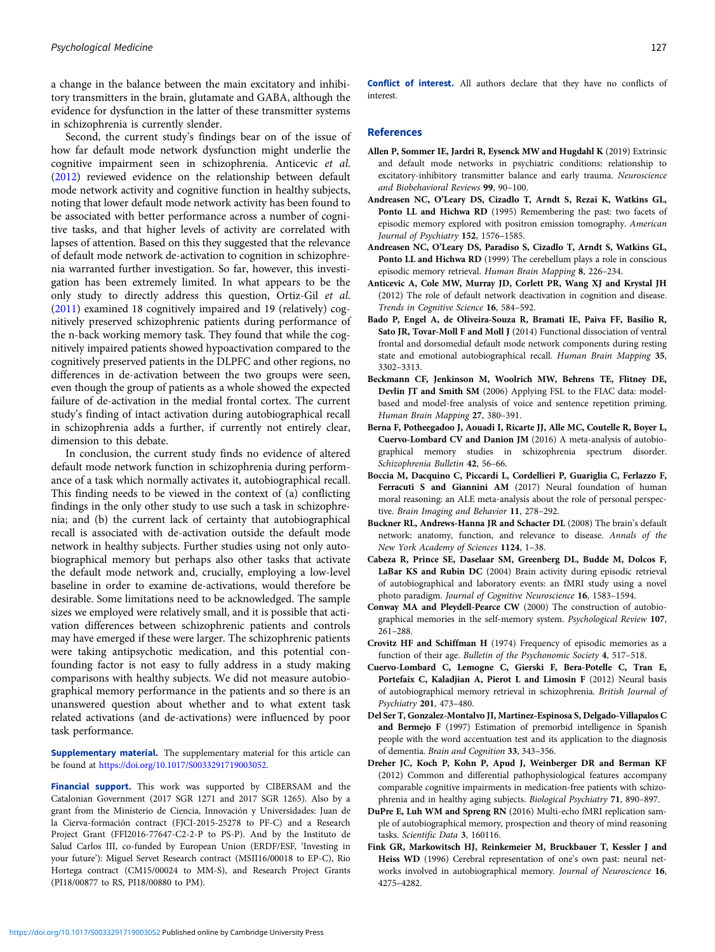<span id="page-6-0"></span>a change in the balance between the main excitatory and inhibitory transmitters in the brain, glutamate and GABA, although the evidence for dysfunction in the latter of these transmitter systems in schizophrenia is currently slender.

Second, the current study's findings bear on of the issue of how far default mode network dysfunction might underlie the cognitive impairment seen in schizophrenia. Anticevic et al. (2012) reviewed evidence on the relationship between default mode network activity and cognitive function in healthy subjects, noting that lower default mode network activity has been found to be associated with better performance across a number of cognitive tasks, and that higher levels of activity are correlated with lapses of attention. Based on this they suggested that the relevance of default mode network de-activation to cognition in schizophrenia warranted further investigation. So far, however, this investigation has been extremely limited. In what appears to be the only study to directly address this question, Ortiz-Gil et al. ([2011](#page-7-0)) examined 18 cognitively impaired and 19 (relatively) cognitively preserved schizophrenic patients during performance of the n-back working memory task. They found that while the cognitively impaired patients showed hypoactivation compared to the cognitively preserved patients in the DLPFC and other regions, no differences in de-activation between the two groups were seen, even though the group of patients as a whole showed the expected failure of de-activation in the medial frontal cortex. The current study's finding of intact activation during autobiographical recall in schizophrenia adds a further, if currently not entirely clear, dimension to this debate.

In conclusion, the current study finds no evidence of altered default mode network function in schizophrenia during performance of a task which normally activates it, autobiographical recall. This finding needs to be viewed in the context of (a) conflicting findings in the only other study to use such a task in schizophrenia; and (b) the current lack of certainty that autobiographical recall is associated with de-activation outside the default mode network in healthy subjects. Further studies using not only autobiographical memory but perhaps also other tasks that activate the default mode network and, crucially, employing a low-level baseline in order to examine de-activations, would therefore be desirable. Some limitations need to be acknowledged. The sample sizes we employed were relatively small, and it is possible that activation differences between schizophrenic patients and controls may have emerged if these were larger. The schizophrenic patients were taking antipsychotic medication, and this potential confounding factor is not easy to fully address in a study making comparisons with healthy subjects. We did not measure autobiographical memory performance in the patients and so there is an unanswered question about whether and to what extent task related activations (and de-activations) were influenced by poor task performance.

Supplementary material. The supplementary material for this article can be found at [https://doi.org/10.1017/S0033291719003052.](https://doi.org/10.1017/S0033291719003052)

Financial support. This work was supported by CIBERSAM and the Catalonian Government (2017 SGR 1271 and 2017 SGR 1265). Also by a grant from the Ministerio de Ciencia, Innovación y Universidades: Juan de la Cierva-formación contract (FJCI-2015-25278 to PF-C) and a Research Project Grant (FFI2016-77647-C2-2-P to PS-P). And by the Instituto de Salud Carlos III, co-funded by European Union (ERDF/ESF, 'Investing in your future'): Miguel Servet Research contract (MSII16/00018 to EP-C), Rio Hortega contract (CM15/00024 to MM-S), and Research Project Grants (PI18/00877 to RS, PI18/00880 to PM).

Conflict of interest. All authors declare that they have no conflicts of interest.

## References

- Allen P, Sommer IE, Jardri R, Eysenck MW and Hugdahl K (2019) Extrinsic and default mode networks in psychiatric conditions: relationship to excitatory-inhibitory transmitter balance and early trauma. Neuroscience and Biobehavioral Reviews 99, 90–100.
- Andreasen NC, O'Leary DS, Cizadlo T, Arndt S, Rezai K, Watkins GL, Ponto LL and Hichwa RD (1995) Remembering the past: two facets of episodic memory explored with positron emission tomography. American Journal of Psychiatry 152, 1576–1585.
- Andreasen NC, O'Leary DS, Paradiso S, Cizadlo T, Arndt S, Watkins GL, Ponto LL and Hichwa RD (1999) The cerebellum plays a role in conscious episodic memory retrieval. Human Brain Mapping 8, 226–234.
- Anticevic A, Cole MW, Murray JD, Corlett PR, Wang XJ and Krystal JH (2012) The role of default network deactivation in cognition and disease. Trends in Cognitive Science 16, 584–592.
- Bado P, Engel A, de Oliveira-Souza R, Bramati IE, Paiva FF, Basilio R, Sato JR, Tovar-Moll F and Moll J (2014) Functional dissociation of ventral frontal and dorsomedial default mode network components during resting state and emotional autobiographical recall. Human Brain Mapping 35, 3302–3313.
- Beckmann CF, Jenkinson M, Woolrich MW, Behrens TE, Flitney DE, Devlin JT and Smith SM (2006) Applying FSL to the FIAC data: modelbased and model-free analysis of voice and sentence repetition priming. Human Brain Mapping 27, 380–391.
- Berna F, Potheegadoo J, Aouadi I, Ricarte JJ, Alle MC, Coutelle R, Boyer L, Cuervo-Lombard CV and Danion JM (2016) A meta-analysis of autobiographical memory studies in schizophrenia spectrum disorder. Schizophrenia Bulletin 42, 56–66.
- Boccia M, Dacquino C, Piccardi L, Cordellieri P, Guariglia C, Ferlazzo F, Ferracuti S and Giannini AM (2017) Neural foundation of human moral reasoning: an ALE meta-analysis about the role of personal perspective. Brain Imaging and Behavior 11, 278–292.
- Buckner RL, Andrews-Hanna JR and Schacter DL (2008) The brain's default network: anatomy, function, and relevance to disease. Annals of the New York Academy of Sciences 1124, 1–38.
- Cabeza R, Prince SE, Daselaar SM, Greenberg DL, Budde M, Dolcos F, LaBar KS and Rubin DC (2004) Brain activity during episodic retrieval of autobiographical and laboratory events: an fMRI study using a novel photo paradigm. Journal of Cognitive Neuroscience 16, 1583–1594.
- Conway MA and Pleydell-Pearce CW (2000) The construction of autobiographical memories in the self-memory system. Psychological Review 107, 261–288.
- Crovitz HF and Schiffman H (1974) Frequency of episodic memories as a function of their age. Bulletin of the Psychonomic Society 4, 517–518.
- Cuervo-Lombard C, Lemogne C, Gierski F, Bera-Potelle C, Tran E, Portefaix C, Kaladjian A, Pierot L and Limosin F (2012) Neural basis of autobiographical memory retrieval in schizophrenia. British Journal of Psychiatry 201, 473–480.
- Del Ser T, Gonzalez-Montalvo JI, Martinez-Espinosa S, Delgado-Villapalos C and Bermejo F (1997) Estimation of premorbid intelligence in Spanish people with the word accentuation test and its application to the diagnosis of dementia. Brain and Cognition 33, 343–356.
- Dreher JC, Koch P, Kohn P, Apud J, Weinberger DR and Berman KF (2012) Common and differential pathophysiological features accompany comparable cognitive impairments in medication-free patients with schizophrenia and in healthy aging subjects. Biological Psychiatry 71, 890–897.
- DuPre E, Luh WM and Spreng RN (2016) Multi-echo fMRI replication sample of autobiographical memory, prospection and theory of mind reasoning tasks. Scientific Data 3, 160116.
- Fink GR, Markowitsch HJ, Reinkemeier M, Bruckbauer T, Kessler J and Heiss WD (1996) Cerebral representation of one's own past: neural networks involved in autobiographical memory. Journal of Neuroscience 16, 4275–4282.